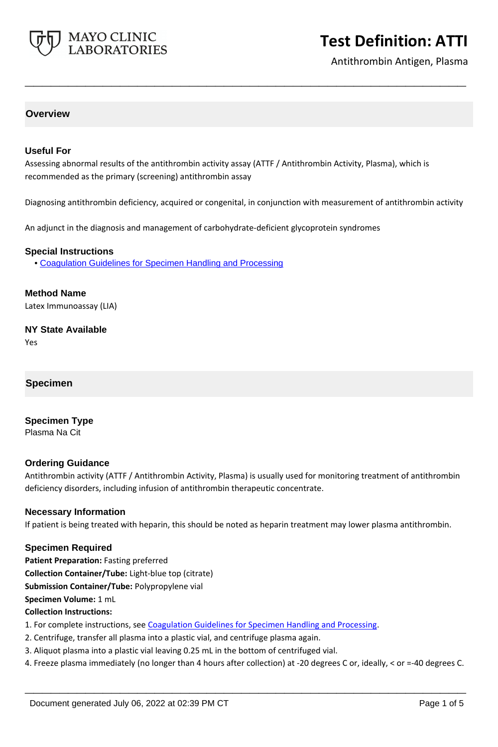

Antithrombin Antigen, Plasma

#### **Overview**

#### **Useful For**

Assessing abnormal results of the antithrombin activity assay (ATTF / Antithrombin Activity, Plasma), which is recommended as the primary (screening) antithrombin assay

Diagnosing antithrombin deficiency, acquired or congenital, in conjunction with measurement of antithrombin activity

**\_\_\_\_\_\_\_\_\_\_\_\_\_\_\_\_\_\_\_\_\_\_\_\_\_\_\_\_\_\_\_\_\_\_\_\_\_\_\_\_\_\_\_\_\_\_\_\_\_\_\_**

An adjunct in the diagnosis and management of carbohydrate-deficient glycoprotein syndromes

#### **Special Instructions**

• [Coagulation Guidelines for Specimen Handling and Processing](http://www.mayocliniclabs.com/it-mmfiles/Coagulation_Studies.pdf)

**Method Name**

Latex Immunoassay (LIA)

**NY State Available** Yes

**Specimen**

**Specimen Type** Plasma Na Cit

#### **Ordering Guidance**

Antithrombin activity (ATTF / Antithrombin Activity, Plasma) is usually used for monitoring treatment of antithrombin deficiency disorders, including infusion of antithrombin therapeutic concentrate.

#### **Necessary Information**

If patient is being treated with heparin, this should be noted as heparin treatment may lower plasma antithrombin.

#### **Specimen Required**

**Patient Preparation:** Fasting preferred **Collection Container/Tube:** Light-blue top (citrate)

**Submission Container/Tube:** Polypropylene vial

**Specimen Volume:** 1 mL

### **Collection Instructions:**

- 1. For complete instructions, see [Coagulation Guidelines for Specimen Handling and Processing](https://www.mayocliniclabs.com/it-mmfiles/Coagulation_Studies.pdf).
- 2. Centrifuge, transfer all plasma into a plastic vial, and centrifuge plasma again.
- 3. Aliquot plasma into a plastic vial leaving 0.25 mL in the bottom of centrifuged vial.
- 4. Freeze plasma immediately (no longer than 4 hours after collection) at -20 degrees C or, ideally, < or =-40 degrees C.

**\_\_\_\_\_\_\_\_\_\_\_\_\_\_\_\_\_\_\_\_\_\_\_\_\_\_\_\_\_\_\_\_\_\_\_\_\_\_\_\_\_\_\_\_\_\_\_\_\_\_\_**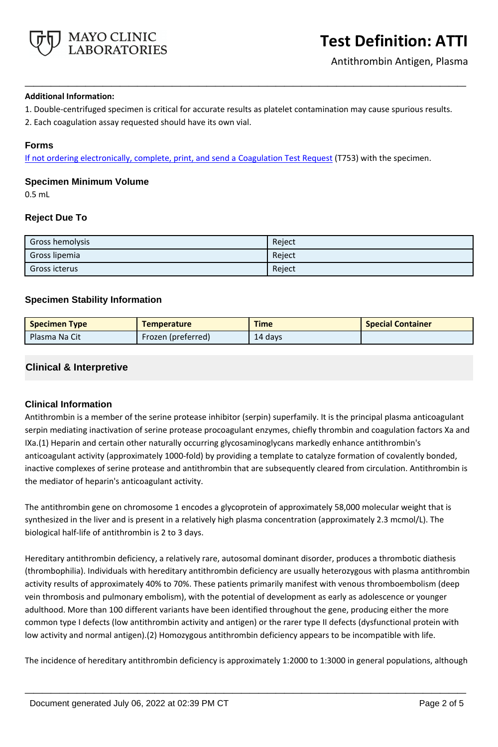

#### **Additional Information:**

1. Double-centrifuged specimen is critical for accurate results as platelet contamination may cause spurious results.

**\_\_\_\_\_\_\_\_\_\_\_\_\_\_\_\_\_\_\_\_\_\_\_\_\_\_\_\_\_\_\_\_\_\_\_\_\_\_\_\_\_\_\_\_\_\_\_\_\_\_\_**

2. Each coagulation assay requested should have its own vial.

#### **Forms**

If not ordering electronically, complete, print, and send a [Coagulation Test Request](https://www.mayocliniclabs.com/it-mmfiles/coagulation-test-request-form.pdf) (T753) with the specimen.

#### **Specimen Minimum Volume**

0.5 mL

#### **Reject Due To**

| Gross hemolysis | Reject |
|-----------------|--------|
| Gross lipemia   | Reject |
| Gross icterus   | Reject |

## **Specimen Stability Information**

| <b>Specimen Type</b> | <b>Temperature</b> | <b>Time</b> | <b>Special Container</b> |
|----------------------|--------------------|-------------|--------------------------|
| Plasma Na Cit        | Frozen (preferred) | 14 days     |                          |

# **Clinical & Interpretive**

#### **Clinical Information**

Antithrombin is a member of the serine protease inhibitor (serpin) superfamily. It is the principal plasma anticoagulant serpin mediating inactivation of serine protease procoagulant enzymes, chiefly thrombin and coagulation factors Xa and IXa.(1) Heparin and certain other naturally occurring glycosaminoglycans markedly enhance antithrombin's anticoagulant activity (approximately 1000-fold) by providing a template to catalyze formation of covalently bonded, inactive complexes of serine protease and antithrombin that are subsequently cleared from circulation. Antithrombin is the mediator of heparin's anticoagulant activity.

The antithrombin gene on chromosome 1 encodes a glycoprotein of approximately 58,000 molecular weight that is synthesized in the liver and is present in a relatively high plasma concentration (approximately 2.3 mcmol/L). The biological half-life of antithrombin is 2 to 3 days.

Hereditary antithrombin deficiency, a relatively rare, autosomal dominant disorder, produces a thrombotic diathesis (thrombophilia). Individuals with hereditary antithrombin deficiency are usually heterozygous with plasma antithrombin activity results of approximately 40% to 70%. These patients primarily manifest with venous thromboembolism (deep vein thrombosis and pulmonary embolism), with the potential of development as early as adolescence or younger adulthood. More than 100 different variants have been identified throughout the gene, producing either the more common type I defects (low antithrombin activity and antigen) or the rarer type II defects (dysfunctional protein with low activity and normal antigen).(2) Homozygous antithrombin deficiency appears to be incompatible with life.

The incidence of hereditary antithrombin deficiency is approximately 1:2000 to 1:3000 in general populations, although

**\_\_\_\_\_\_\_\_\_\_\_\_\_\_\_\_\_\_\_\_\_\_\_\_\_\_\_\_\_\_\_\_\_\_\_\_\_\_\_\_\_\_\_\_\_\_\_\_\_\_\_**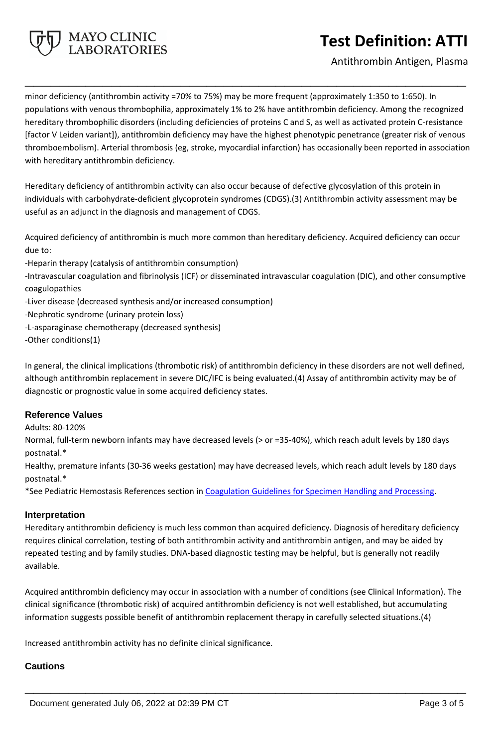

Antithrombin Antigen, Plasma

minor deficiency (antithrombin activity =70% to 75%) may be more frequent (approximately 1:350 to 1:650). In populations with venous thrombophilia, approximately 1% to 2% have antithrombin deficiency. Among the recognized hereditary thrombophilic disorders (including deficiencies of proteins C and S, as well as activated protein C-resistance [factor V Leiden variant]), antithrombin deficiency may have the highest phenotypic penetrance (greater risk of venous thromboembolism). Arterial thrombosis (eg, stroke, myocardial infarction) has occasionally been reported in association with hereditary antithrombin deficiency.

**\_\_\_\_\_\_\_\_\_\_\_\_\_\_\_\_\_\_\_\_\_\_\_\_\_\_\_\_\_\_\_\_\_\_\_\_\_\_\_\_\_\_\_\_\_\_\_\_\_\_\_**

Hereditary deficiency of antithrombin activity can also occur because of defective glycosylation of this protein in individuals with carbohydrate-deficient glycoprotein syndromes (CDGS).(3) Antithrombin activity assessment may be useful as an adjunct in the diagnosis and management of CDGS.

Acquired deficiency of antithrombin is much more common than hereditary deficiency. Acquired deficiency can occur due to:

-Heparin therapy (catalysis of antithrombin consumption)

-Intravascular coagulation and fibrinolysis (ICF) or disseminated intravascular coagulation (DIC), and other consumptive coagulopathies

- -Liver disease (decreased synthesis and/or increased consumption)
- -Nephrotic syndrome (urinary protein loss)
- -L-asparaginase chemotherapy (decreased synthesis)
- -Other conditions(1)

In general, the clinical implications (thrombotic risk) of antithrombin deficiency in these disorders are not well defined, although antithrombin replacement in severe DIC/IFC is being evaluated.(4) Assay of antithrombin activity may be of diagnostic or prognostic value in some acquired deficiency states.

#### **Reference Values**

Adults: 80-120%

Normal, full-term newborn infants may have decreased levels (> or =35-40%), which reach adult levels by 180 days postnatal.\*

Healthy, premature infants (30-36 weeks gestation) may have decreased levels, which reach adult levels by 180 days postnatal.\*

\*See Pediatric Hemostasis References section in [Coagulation Guidelines for Specimen Handling and Processing](https://www.mayocliniclabs.com/it-mmfiles/Coagulation_Studies.pdf).

#### **Interpretation**

Hereditary antithrombin deficiency is much less common than acquired deficiency. Diagnosis of hereditary deficiency requires clinical correlation, testing of both antithrombin activity and antithrombin antigen, and may be aided by repeated testing and by family studies. DNA-based diagnostic testing may be helpful, but is generally not readily available.

Acquired antithrombin deficiency may occur in association with a number of conditions (see Clinical Information). The clinical significance (thrombotic risk) of acquired antithrombin deficiency is not well established, but accumulating information suggests possible benefit of antithrombin replacement therapy in carefully selected situations.(4)

**\_\_\_\_\_\_\_\_\_\_\_\_\_\_\_\_\_\_\_\_\_\_\_\_\_\_\_\_\_\_\_\_\_\_\_\_\_\_\_\_\_\_\_\_\_\_\_\_\_\_\_**

Increased antithrombin activity has no definite clinical significance.

#### **Cautions**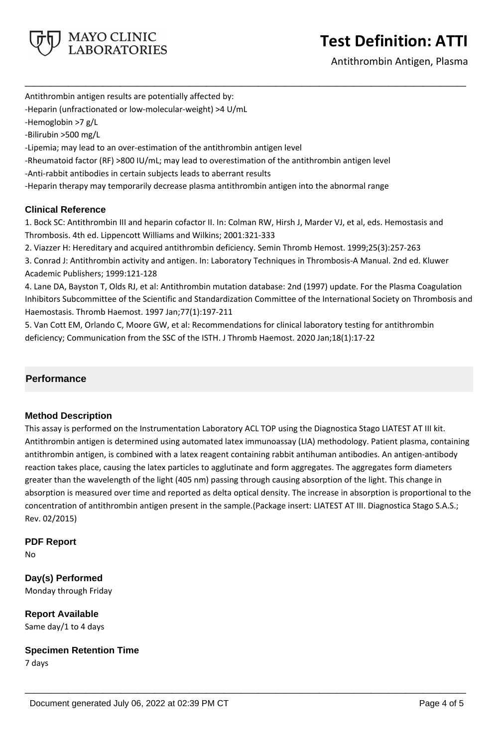

Antithrombin Antigen, Plasma

Antithrombin antigen results are potentially affected by:

-Heparin (unfractionated or low-molecular-weight) >4 U/mL

-Hemoglobin >7 g/L

-Bilirubin >500 mg/L

-Lipemia; may lead to an over-estimation of the antithrombin antigen level

-Rheumatoid factor (RF) >800 IU/mL; may lead to overestimation of the antithrombin antigen level

-Anti-rabbit antibodies in certain subjects leads to aberrant results

-Heparin therapy may temporarily decrease plasma antithrombin antigen into the abnormal range

## **Clinical Reference**

1. Bock SC: Antithrombin III and heparin cofactor II. In: Colman RW, Hirsh J, Marder VJ, et al, eds. Hemostasis and Thrombosis. 4th ed. Lippencott Williams and Wilkins; 2001:321-333

**\_\_\_\_\_\_\_\_\_\_\_\_\_\_\_\_\_\_\_\_\_\_\_\_\_\_\_\_\_\_\_\_\_\_\_\_\_\_\_\_\_\_\_\_\_\_\_\_\_\_\_**

2. Viazzer H: Hereditary and acquired antithrombin deficiency. Semin Thromb Hemost. 1999;25(3):257-263

3. Conrad J: Antithrombin activity and antigen. In: Laboratory Techniques in Thrombosis-A Manual. 2nd ed. Kluwer Academic Publishers; 1999:121-128

4. Lane DA, Bayston T, Olds RJ, et al: Antithrombin mutation database: 2nd (1997) update. For the Plasma Coagulation Inhibitors Subcommittee of the Scientific and Standardization Committee of the International Society on Thrombosis and Haemostasis. Thromb Haemost. 1997 Jan;77(1):197-211

5. Van Cott EM, Orlando C, Moore GW, et al: Recommendations for clinical laboratory testing for antithrombin deficiency; Communication from the SSC of the ISTH. J Thromb Haemost. 2020 Jan;18(1):17-22

# **Performance**

#### **Method Description**

This assay is performed on the Instrumentation Laboratory ACL TOP using the Diagnostica Stago LIATEST AT III kit. Antithrombin antigen is determined using automated latex immunoassay (LIA) methodology. Patient plasma, containing antithrombin antigen, is combined with a latex reagent containing rabbit antihuman antibodies. An antigen-antibody reaction takes place, causing the latex particles to agglutinate and form aggregates. The aggregates form diameters greater than the wavelength of the light (405 nm) passing through causing absorption of the light. This change in absorption is measured over time and reported as delta optical density. The increase in absorption is proportional to the concentration of antithrombin antigen present in the sample.(Package insert: LIATEST AT III. Diagnostica Stago S.A.S.; Rev. 02/2015)

**\_\_\_\_\_\_\_\_\_\_\_\_\_\_\_\_\_\_\_\_\_\_\_\_\_\_\_\_\_\_\_\_\_\_\_\_\_\_\_\_\_\_\_\_\_\_\_\_\_\_\_**

#### **PDF Report**

No

# **Day(s) Performed**

Monday through Friday

# **Report Available**

Same day/1 to 4 days

**Specimen Retention Time** 7 days